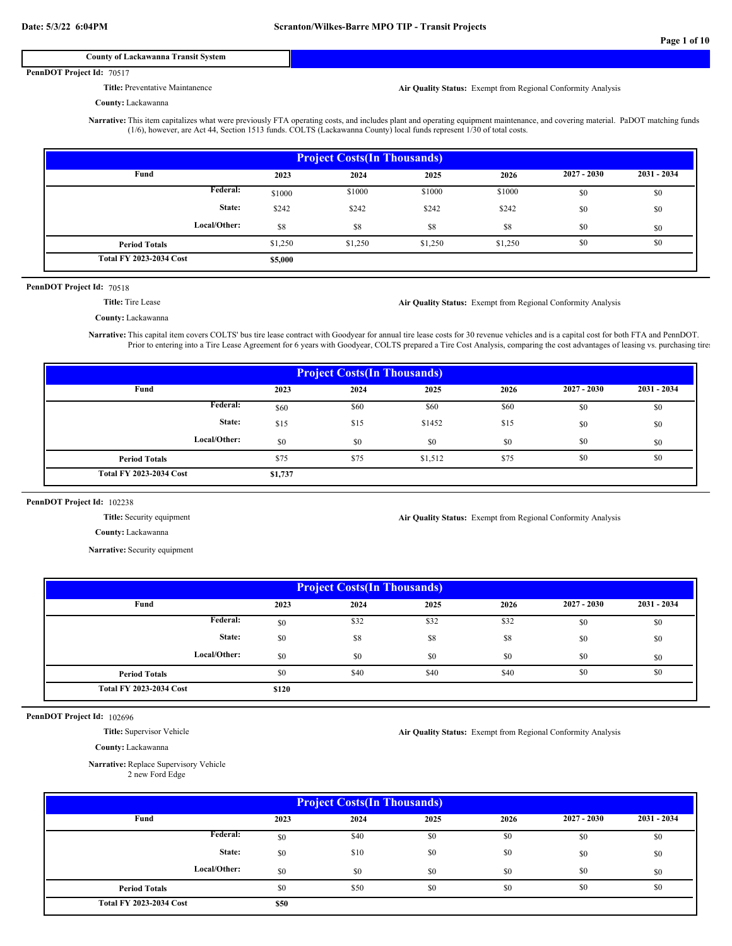### **County of Lackawanna Transit System**

#### PennDOT Project Id: 70517

**Title:** Preventative Maintanence

**Air Quality Status:** Exempt from Regional Conformity Analysis

## **County:** Lackawanna

**Narrative:** This item capitalizes what were previously FTA operating costs, and includes plant and operating equipment maintenance, and covering material. PaDOT matching funds (1/6), however, are Act 44, Section 1513 funds. COLTS (Lackawanna County) local funds represent 1/30 of total costs.

| <b>Project Costs (In Thousands)</b> |         |         |         |         |               |             |  |  |  |
|-------------------------------------|---------|---------|---------|---------|---------------|-------------|--|--|--|
| Fund                                | 2023    | 2024    | 2025    | 2026    | $2027 - 2030$ | 2031 - 2034 |  |  |  |
| Federal:                            | \$1000  | \$1000  | \$1000  | \$1000  | \$0           | \$0         |  |  |  |
| State:                              | \$242   | \$242   | \$242   | \$242   | \$0           | \$0         |  |  |  |
| Local/Other:                        | \$8     | \$8     | \$8     | \$8     | \$0           | \$0         |  |  |  |
| <b>Period Totals</b>                | \$1,250 | \$1,250 | \$1,250 | \$1,250 | \$0           | \$0         |  |  |  |
| <b>Total FY 2023-2034 Cost</b>      | \$5,000 |         |         |         |               |             |  |  |  |

#### PennDOT Project Id: 70518

**Title:** Tire Lease

**Air Quality Status:** Exempt from Regional Conformity Analysis

**Air Quality Status:** Exempt from Regional Conformity Analysis

**County:** Lackawanna

**Narrative:** This capital item covers COLTS' bus tire lease contract with Goodyear for annual tire lease costs for 30 revenue vehicles and is a capital cost for both FTA and PennDOT. Prior to entering into a Tire Lease Agreement for 6 years with Goodyear, COLTS prepared a Tire Cost Analysis, comparing the cost advantages of leasing vs. purchasing tires

| <b>Project Costs (In Thousands)</b> |         |      |         |      |               |             |  |  |  |
|-------------------------------------|---------|------|---------|------|---------------|-------------|--|--|--|
| Fund                                | 2023    | 2024 | 2025    | 2026 | $2027 - 2030$ | 2031 - 2034 |  |  |  |
| Federal:                            | \$60    | \$60 | \$60    | \$60 | \$0           | \$0         |  |  |  |
| State:                              | \$15    | \$15 | \$1452  | \$15 | \$0           | \$0         |  |  |  |
| Local/Other:                        | \$0     | \$0  | \$0     | \$0  | \$0           | \$0         |  |  |  |
| <b>Period Totals</b>                | \$75    | \$75 | \$1,512 | \$75 | \$0           | \$0         |  |  |  |
| <b>Total FY 2023-2034 Cost</b>      | \$1,737 |      |         |      |               |             |  |  |  |

#### PennDOT Project Id: 102238

**Title:** Security equipment

**County:** Lackawanna

**Narrative:** Security equipment

| <b>Project Costs (In Thousands)</b> |       |      |      |      |               |             |  |  |  |
|-------------------------------------|-------|------|------|------|---------------|-------------|--|--|--|
| Fund                                | 2023  | 2024 | 2025 | 2026 | $2027 - 2030$ | 2031 - 2034 |  |  |  |
| Federal:                            | \$0   | \$32 | \$32 | \$32 | \$0           | \$0         |  |  |  |
| State:                              | \$0   | \$8  | \$8  | \$8  | \$0           | \$0         |  |  |  |
| Local/Other:                        | \$0   | \$0  | \$0  | \$0  | \$0           | \$0         |  |  |  |
| <b>Period Totals</b>                | \$0   | \$40 | \$40 | \$40 | \$0           | \$0         |  |  |  |
| <b>Total FY 2023-2034 Cost</b>      | \$120 |      |      |      |               |             |  |  |  |

PennDOT Project Id: 102696

**Title:** Supervisor Vehicle

**Air Quality Status:** Exempt from Regional Conformity Analysis

**County:** Lackawanna

**Narrative:** Replace Supervisory Vehicle 2 new Ford Edge

| <b>Project Costs (In Thousands)</b> |      |      |      |      |               |               |  |  |  |
|-------------------------------------|------|------|------|------|---------------|---------------|--|--|--|
| Fund                                | 2023 | 2024 | 2025 | 2026 | $2027 - 2030$ | $2031 - 2034$ |  |  |  |
| <b>Federal:</b>                     | \$0  | \$40 | \$0  | \$0  | \$0           | \$0           |  |  |  |
| State:                              | \$0  | \$10 | \$0  | \$0  | \$0           | \$0           |  |  |  |
| Local/Other:                        | \$0  | \$0  | \$0  | \$0  | \$0           | \$0           |  |  |  |
| <b>Period Totals</b>                | \$0  | \$50 | \$0  | \$0  | \$0           | \$0           |  |  |  |
| <b>Total FY 2023-2034 Cost</b>      | \$50 |      |      |      |               |               |  |  |  |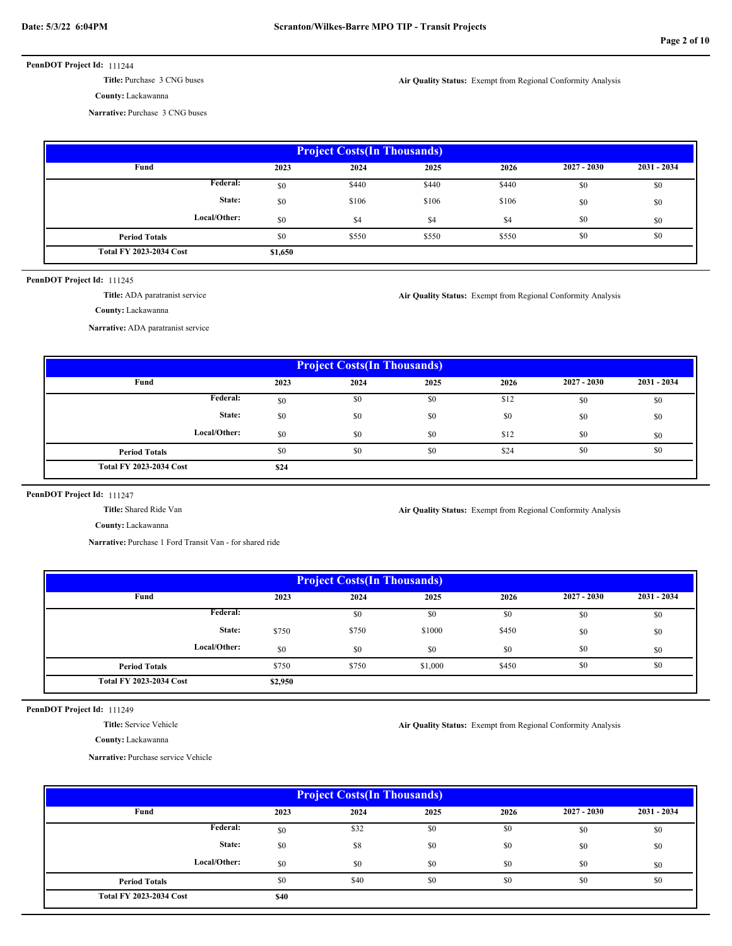**Title:** Purchase 3 CNG buses

**Air Quality Status:** Exempt from Regional Conformity Analysis

**County:** Lackawanna

**Narrative:** Purchase 3 CNG buses

| <b>Project Costs (In Thousands)</b> |         |       |       |       |               |             |  |  |  |
|-------------------------------------|---------|-------|-------|-------|---------------|-------------|--|--|--|
| Fund                                | 2023    | 2024  | 2025  | 2026  | $2027 - 2030$ | 2031 - 2034 |  |  |  |
| <b>Federal:</b>                     | \$0     | \$440 | \$440 | \$440 | \$0           | \$0         |  |  |  |
| State:                              | \$0     | \$106 | \$106 | \$106 | \$0           | \$0         |  |  |  |
| Local/Other:                        | \$0     | \$4   | \$4   | \$4   | \$0           | \$0         |  |  |  |
| <b>Period Totals</b>                | \$0     | \$550 | \$550 | \$550 | \$0           | \$0         |  |  |  |
| <b>Total FY 2023-2034 Cost</b>      | \$1,650 |       |       |       |               |             |  |  |  |

### PennDOT Project Id: 111245

**Title:** ADA paratranist service

**Air Quality Status:** Exempt from Regional Conformity Analysis

**County:** Lackawanna

**Narrative:** ADA paratranist service

| <b>Project Costs (In Thousands)</b> |      |      |      |      |               |             |  |  |
|-------------------------------------|------|------|------|------|---------------|-------------|--|--|
| Fund                                | 2023 | 2024 | 2025 | 2026 | $2027 - 2030$ | 2031 - 2034 |  |  |
| Federal:                            | \$0  | \$0  | \$0  | \$12 | \$0           | \$0         |  |  |
| State:                              | \$0  | \$0  | \$0  | \$0  | \$0           | \$0         |  |  |
| Local/Other:                        | \$0  | \$0  | \$0  | \$12 | \$0           | \$0         |  |  |
| <b>Period Totals</b>                | \$0  | \$0  | \$0  | \$24 | \$0           | \$0         |  |  |
| <b>Total FY 2023-2034 Cost</b>      | \$24 |      |      |      |               |             |  |  |

## PennDOT Project Id: 111247

**Title:** Shared Ride Van

**County:** Lackawanna

**Narrative:** Purchase 1 Ford Transit Van - for shared ride

| <b>Project Costs (In Thousands)</b> |         |       |         |       |               |             |  |  |  |
|-------------------------------------|---------|-------|---------|-------|---------------|-------------|--|--|--|
| Fund                                | 2023    | 2024  | 2025    | 2026  | $2027 - 2030$ | 2031 - 2034 |  |  |  |
| Federal:                            |         | SO.   | \$0     | \$0   | \$0           | \$0         |  |  |  |
| State:                              | \$750   | \$750 | \$1000  | \$450 | \$0           | \$0         |  |  |  |
| Local/Other:                        | \$0     | \$0   | \$0     | \$0   | \$0           | \$0         |  |  |  |
| <b>Period Totals</b>                | \$750   | \$750 | \$1,000 | \$450 | \$0           | \$0         |  |  |  |
| <b>Total FY 2023-2034 Cost</b>      | \$2,950 |       |         |       |               |             |  |  |  |

PennDOT Project Id: 111249

**Title:** Service Vehicle

**County:** Lackawanna

**Air Quality Status:** Exempt from Regional Conformity Analysis

**Air Quality Status:** Exempt from Regional Conformity Analysis

**Narrative:** Purchase service Vehicle

| <b>Project Costs (In Thousands)</b> |      |      |      |      |               |               |  |  |  |
|-------------------------------------|------|------|------|------|---------------|---------------|--|--|--|
| Fund                                | 2023 | 2024 | 2025 | 2026 | $2027 - 2030$ | $2031 - 2034$ |  |  |  |
| Federal:                            | \$0  | \$32 | \$0  | \$0  | \$0           | \$0           |  |  |  |
| State:                              | \$0  | \$8  | \$0  | \$0  | \$0           | \$0           |  |  |  |
| Local/Other:                        | \$0  | \$0  | \$0  | \$0  | \$0           | \$0           |  |  |  |
| <b>Period Totals</b>                | \$0  | \$40 | \$0  | \$0  | \$0           | \$0           |  |  |  |
| <b>Total FY 2023-2034 Cost</b>      | \$40 |      |      |      |               |               |  |  |  |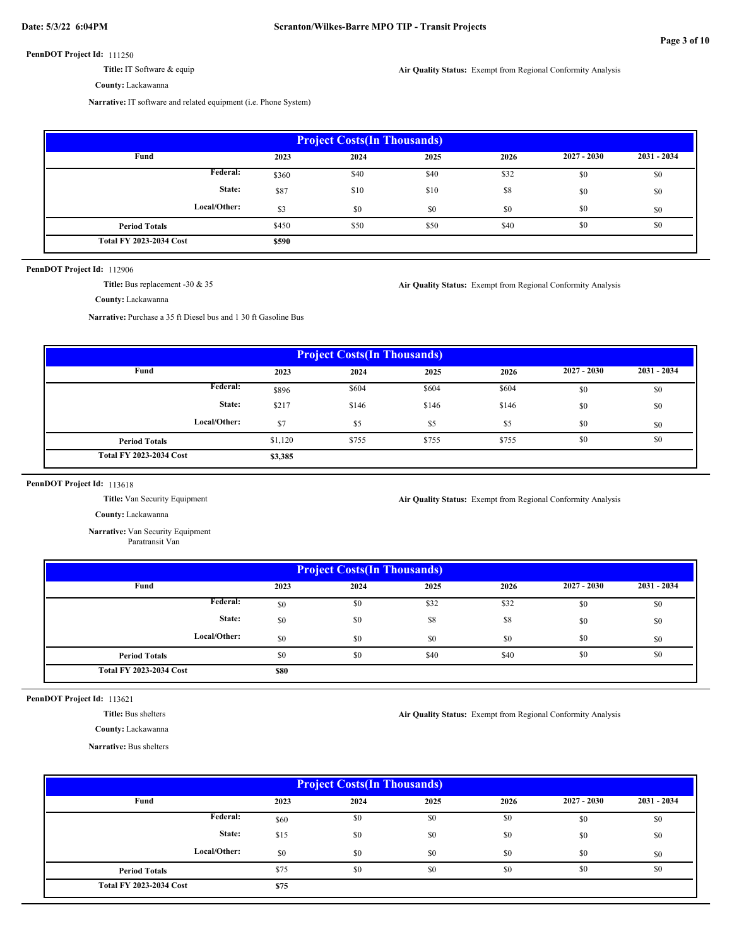**Title:** IT Software & equip

**County:** Lackawanna

**Narrative:** IT software and related equipment (i.e. Phone System)

| <b>Project Costs(In Thousands)</b> |       |      |      |      |               |               |  |  |  |
|------------------------------------|-------|------|------|------|---------------|---------------|--|--|--|
| Fund                               | 2023  | 2024 | 2025 | 2026 | $2027 - 2030$ | $2031 - 2034$ |  |  |  |
| Federal:                           | \$360 | \$40 | \$40 | \$32 | \$0           | \$0           |  |  |  |
| State:                             | \$87  | \$10 | \$10 | \$8  | \$0           | \$0           |  |  |  |
| Local/Other:                       | \$3   | \$0  | \$0  | \$0  | \$0           | \$0           |  |  |  |
| <b>Period Totals</b>               | \$450 | \$50 | \$50 | \$40 | \$0           | \$0           |  |  |  |
| <b>Total FY 2023-2034 Cost</b>     | \$590 |      |      |      |               |               |  |  |  |

PennDOT Project Id: 112906

**Title:** Bus replacement -30 & 35

**Air Quality Status:** Exempt from Regional Conformity Analysis

**Air Quality Status:** Exempt from Regional Conformity Analysis

**County:** Lackawanna

**Narrative:** Purchase a 35 ft Diesel bus and 1 30 ft Gasoline Bus

| <b>Project Costs (In Thousands)</b> |         |       |       |       |               |               |  |  |  |
|-------------------------------------|---------|-------|-------|-------|---------------|---------------|--|--|--|
| Fund                                | 2023    | 2024  | 2025  | 2026  | $2027 - 2030$ | $2031 - 2034$ |  |  |  |
| <b>Federal:</b>                     | \$896   | \$604 | \$604 | \$604 | \$0           | \$0           |  |  |  |
| State:                              | \$217   | \$146 | \$146 | \$146 | \$0           | \$0           |  |  |  |
| Local/Other:                        | \$7     | \$5   | \$5   | \$5   | \$0           | \$0           |  |  |  |
| <b>Period Totals</b>                | \$1,120 | \$755 | \$755 | \$755 | \$0           | \$0           |  |  |  |
| <b>Total FY 2023-2034 Cost</b>      | \$3,385 |       |       |       |               |               |  |  |  |

PennDOT Project Id: 113618

**Title:** Van Security Equipment

**Air Quality Status:** Exempt from Regional Conformity Analysis

**Air Quality Status:** Exempt from Regional Conformity Analysis

**County:** Lackawanna

**Narrative:** Van Security Equipment Paratransit Van

| <b>Project Costs (In Thousands)</b> |             |      |      |      |               |             |  |  |  |
|-------------------------------------|-------------|------|------|------|---------------|-------------|--|--|--|
| Fund                                | 2023        | 2024 | 2025 | 2026 | $2027 - 2030$ | 2031 - 2034 |  |  |  |
| Federal:                            | \$0         | \$0  | \$32 | \$32 | \$0           | \$0         |  |  |  |
| State:                              | \$0         | \$0  | \$8  | \$8  | \$0           | \$0         |  |  |  |
| Local/Other:                        | \$0         | \$0  | \$0  | \$0  | \$0           | \$0         |  |  |  |
| <b>Period Totals</b>                | \$0         | \$0  | \$40 | \$40 | \$0           | \$0         |  |  |  |
| <b>Total FY 2023-2034 Cost</b>      | <b>\$80</b> |      |      |      |               |             |  |  |  |

PennDOT Project Id: 113621

**Title:** Bus shelters

**County:** Lackawanna

**Narrative:** Bus shelters

 **2023 2025 2026 \$75** \$0 \$0 \$0 \$0 \$60  $$0$  \$0 \$0 \$0 \$0  $$575$   $$0$   $$0$   $$0$   $$0$   $$0$   $$0$   $$0$ **Project Costs(In Thousands) Fund 2027 - 2030 2031 - 2034 Local/Other: State: Total FY 2023-2034 Cost 2024** \$0 \$0 \$0 \$0 \$0 \$0 \$0 \$0 \$0 \$0 **Federal: Period Totals**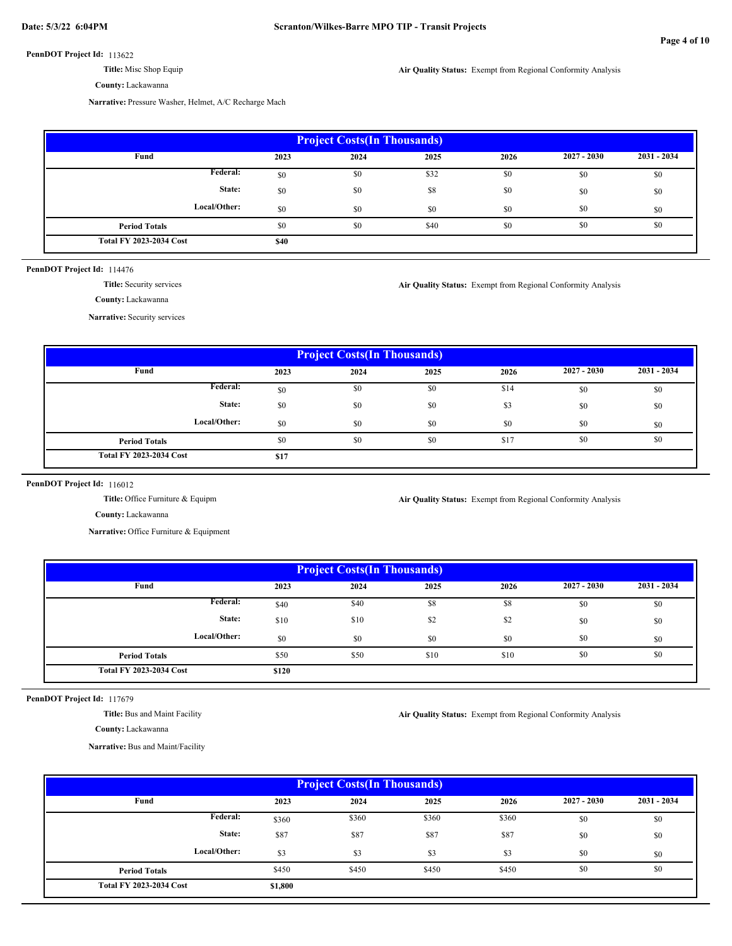**Title:** Misc Shop Equip

**County:** Lackawanna

**Air Quality Status:** Exempt from Regional Conformity Analysis

**Narrative:** Pressure Washer, Helmet, A/C Recharge Mach

| <b>Project Costs(In Thousands)</b> |      |      |      |      |               |             |  |  |  |
|------------------------------------|------|------|------|------|---------------|-------------|--|--|--|
| Fund                               | 2023 | 2024 | 2025 | 2026 | $2027 - 2030$ | 2031 - 2034 |  |  |  |
| Federal:                           | \$0  | \$0  | \$32 | \$0  | \$0           | \$0         |  |  |  |
| State:                             | \$0  | \$0  | \$8  | \$0  | \$0           | \$0         |  |  |  |
| Local/Other:                       | \$0  | \$0  | \$0  | \$0  | \$0           | \$0         |  |  |  |
| <b>Period Totals</b>               | \$0  | \$0  | \$40 | \$0  | \$0           | \$0         |  |  |  |
| <b>Total FY 2023-2034 Cost</b>     | \$40 |      |      |      |               |             |  |  |  |

## PennDOT Project Id: 114476

**Title:** Security services

**Air Quality Status:** Exempt from Regional Conformity Analysis

**County:** Lackawanna

**Narrative:** Security services

| <b>Project Costs (In Thousands)</b> |      |      |      |      |               |             |  |  |  |
|-------------------------------------|------|------|------|------|---------------|-------------|--|--|--|
| Fund                                | 2023 | 2024 | 2025 | 2026 | $2027 - 2030$ | 2031 - 2034 |  |  |  |
| Federal:                            | \$0  | \$0  | \$0  | \$14 | \$0           | \$0         |  |  |  |
| State:                              | \$0  | \$0  | \$0  | \$3  | \$0           | \$0         |  |  |  |
| Local/Other:                        | \$0  | \$0  | \$0  | \$0  | \$0           | \$0         |  |  |  |
| <b>Period Totals</b>                | \$0  | \$0  | \$0  | \$17 | \$0           | \$0         |  |  |  |
| <b>Total FY 2023-2034 Cost</b>      | \$17 |      |      |      |               |             |  |  |  |

PennDOT Project Id: 116012

**Title:** Office Furniture & Equipm

**Air Quality Status:** Exempt from Regional Conformity Analysis

**Air Quality Status:** Exempt from Regional Conformity Analysis

**County:** Lackawanna

**Narrative:** Office Furniture & Equipment

| <b>Project Costs (In Thousands)</b> |       |      |      |      |               |             |  |  |  |
|-------------------------------------|-------|------|------|------|---------------|-------------|--|--|--|
| Fund                                | 2023  | 2024 | 2025 | 2026 | $2027 - 2030$ | 2031 - 2034 |  |  |  |
| Federal:                            | \$40  | \$40 | \$8  | S8   | \$0           | \$0         |  |  |  |
| State:                              | \$10  | \$10 | \$2  | \$2  | \$0           | \$0         |  |  |  |
| Local/Other:                        | \$0   | \$0  | \$0  | \$0  | \$0           | \$0         |  |  |  |
| <b>Period Totals</b>                | \$50  | \$50 | \$10 | \$10 | \$0           | \$0         |  |  |  |
| <b>Total FY 2023-2034 Cost</b>      | \$120 |      |      |      |               |             |  |  |  |

PennDOT Project Id: 117679

**Title:** Bus and Maint Facility

**County:** Lackawanna

**Narrative:** Bus and Maint/Facility

| <b>Project Costs (In Thousands)</b> |         |       |       |       |               |               |  |  |  |
|-------------------------------------|---------|-------|-------|-------|---------------|---------------|--|--|--|
| Fund                                | 2023    | 2024  | 2025  | 2026  | $2027 - 2030$ | $2031 - 2034$ |  |  |  |
| Federal:                            | \$360   | \$360 | \$360 | \$360 | \$0           | \$0           |  |  |  |
| State:                              | \$87    | \$87  | \$87  | \$87  | \$0           | \$0           |  |  |  |
| Local/Other:                        | \$3     | \$3   | \$3   | \$3   | \$0           | \$0           |  |  |  |
| <b>Period Totals</b>                | \$450   | \$450 | \$450 | \$450 | \$0           | \$0           |  |  |  |
| <b>Total FY 2023-2034 Cost</b>      | \$1,800 |       |       |       |               |               |  |  |  |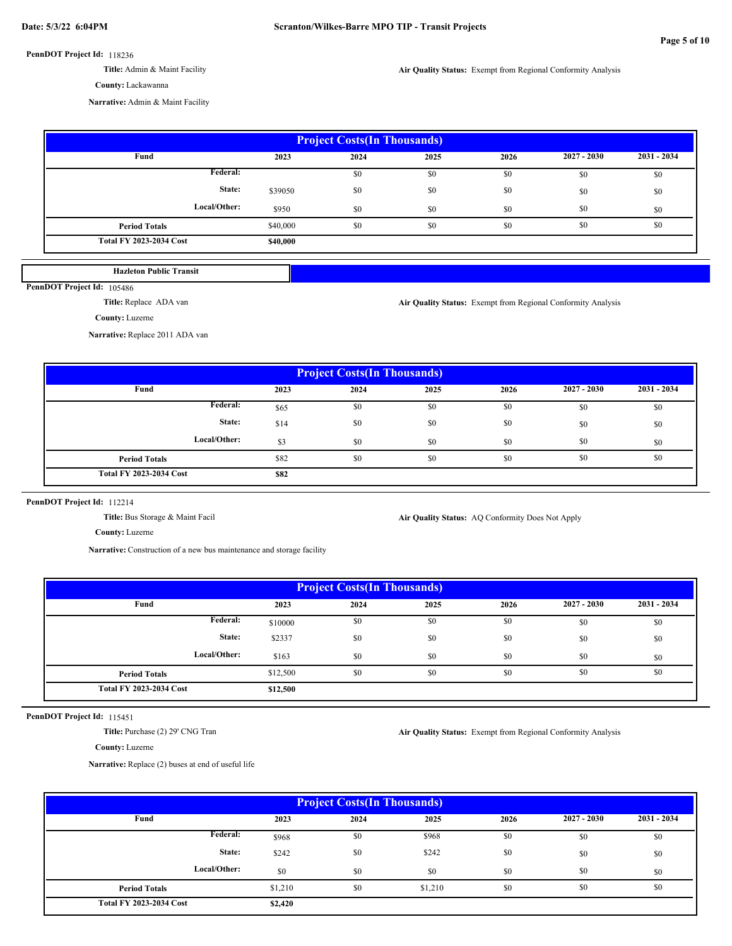- **Title:** Admin & Maint Facility
- **County:** Lackawanna

**Air Quality Status:** Exempt from Regional Conformity Analysis

**Narrative:** Admin & Maint Facility

| <b>Project Costs (In Thousands)</b> |          |      |      |      |               |               |  |  |
|-------------------------------------|----------|------|------|------|---------------|---------------|--|--|
| Fund                                | 2023     | 2024 | 2025 | 2026 | $2027 - 2030$ | $2031 - 2034$ |  |  |
| Federal:                            |          | \$0  | \$0  | \$0  | \$0           | \$0           |  |  |
| State:                              | \$39050  | \$0  | \$0  | \$0  | \$0           | \$0           |  |  |
| Local/Other:                        | \$950    | \$0  | \$0  | \$0  | \$0           | \$0           |  |  |
| <b>Period Totals</b>                | \$40,000 | \$0  | \$0  | \$0  | \$0           | \$0           |  |  |
| <b>Total FY 2023-2034 Cost</b>      | \$40,000 |      |      |      |               |               |  |  |

**Hazleton Public Transit**

PennDOT Project Id: 105486

**Title:** Replace ADA van

**Air Quality Status:** Exempt from Regional Conformity Analysis

**County:** Luzerne

**Narrative:** Replace 2011 ADA van

| <b>Project Costs (In Thousands)</b> |      |      |      |      |               |             |  |  |  |
|-------------------------------------|------|------|------|------|---------------|-------------|--|--|--|
| Fund                                | 2023 | 2024 | 2025 | 2026 | $2027 - 2030$ | 2031 - 2034 |  |  |  |
| Federal:                            | \$65 | \$0  | \$0  | \$0  | \$0           | \$0         |  |  |  |
| State:                              | \$14 | \$0  | \$0  | \$0  | \$0           | \$0         |  |  |  |
| Local/Other:                        | \$3  | \$0  | \$0  | \$0  | \$0           | \$0         |  |  |  |
| <b>Period Totals</b>                | \$82 | \$0  | \$0  | \$0  | \$0           | \$0         |  |  |  |
| <b>Total FY 2023-2034 Cost</b>      | \$82 |      |      |      |               |             |  |  |  |

#### PennDOT Project Id: 112214

**Title:** Bus Storage & Maint Facil

Air Quality Status: AQ Conformity Does Not Apply

**County:** Luzerne

**Narrative:** Construction of a new bus maintenance and storage facility

| <b>Project Costs (In Thousands)</b> |          |      |      |      |               |             |  |  |  |
|-------------------------------------|----------|------|------|------|---------------|-------------|--|--|--|
| Fund                                | 2023     | 2024 | 2025 | 2026 | $2027 - 2030$ | 2031 - 2034 |  |  |  |
| Federal:                            | \$10000  | \$0  | \$0  | \$0  | \$0           | \$0         |  |  |  |
| State:                              | \$2337   | \$0  | \$0  | \$0  | \$0           | \$0         |  |  |  |
| Local/Other:                        | \$163    | \$0  | \$0  | \$0  | \$0           | \$0         |  |  |  |
| <b>Period Totals</b>                | \$12,500 | \$0  | \$0  | \$0  | \$0           | \$0         |  |  |  |
| <b>Total FY 2023-2034 Cost</b>      | \$12,500 |      |      |      |               |             |  |  |  |

PennDOT Project Id: 115451

**Title:** Purchase (2) 29' CNG Tran

**Air Quality Status:** Exempt from Regional Conformity Analysis

**County:** Luzerne

**Narrative:** Replace (2) buses at end of useful life

| <b>Project Costs (In Thousands)</b> |         |      |         |      |               |               |  |  |  |
|-------------------------------------|---------|------|---------|------|---------------|---------------|--|--|--|
| Fund                                | 2023    | 2024 | 2025    | 2026 | $2027 - 2030$ | $2031 - 2034$ |  |  |  |
| Federal:                            | \$968   | \$0  | \$968   | \$0  | \$0           | \$0           |  |  |  |
| State:                              | \$242   | \$0  | \$242   | \$0  | \$0           | \$0           |  |  |  |
| Local/Other:                        | \$0     | \$0  | \$0     | \$0  | \$0           | \$0           |  |  |  |
| <b>Period Totals</b>                | \$1,210 | \$0  | \$1,210 | \$0  | \$0           | \$0           |  |  |  |
| <b>Total FY 2023-2034 Cost</b>      | \$2,420 |      |         |      |               |               |  |  |  |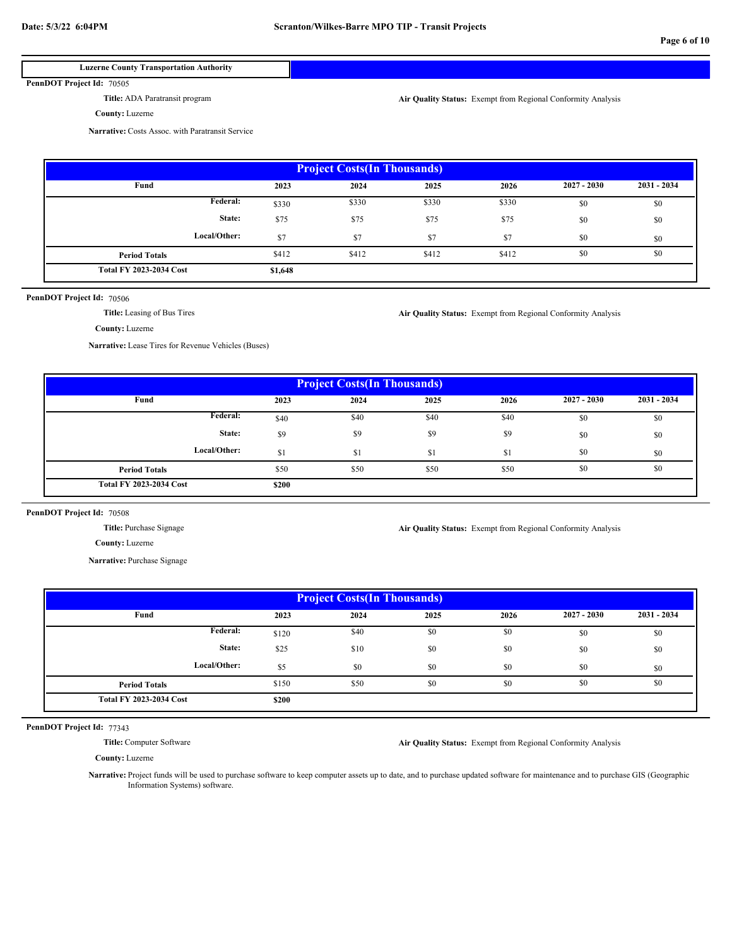## **Luzerne County Transportation Authority**

PennDOT Project Id: 70505

**Title:** ADA Paratransit program

**County:** Luzerne

**Air Quality Status:** Exempt from Regional Conformity Analysis

**Narrative:** Costs Assoc. with Paratransit Service

| <b>Project Costs (In Thousands)</b> |         |       |       |       |               |               |  |  |  |
|-------------------------------------|---------|-------|-------|-------|---------------|---------------|--|--|--|
| Fund                                | 2023    | 2024  | 2025  | 2026  | $2027 - 2030$ | $2031 - 2034$ |  |  |  |
| <b>Federal:</b>                     | \$330   | \$330 | \$330 | \$330 | \$0           | \$0           |  |  |  |
| State:                              | \$75    | \$75  | \$75  | \$75  | \$0           | \$0           |  |  |  |
| Local/Other:                        | \$7     | \$7   | \$7   | \$7   | \$0           | \$0           |  |  |  |
| <b>Period Totals</b>                | \$412   | \$412 | \$412 | \$412 | \$0           | \$0           |  |  |  |
| <b>Total FY 2023-2034 Cost</b>      | \$1,648 |       |       |       |               |               |  |  |  |

### PennDOT Project Id: 70506

**Title:** Leasing of Bus Tires

**County:** Luzerne

**Narrative:** Lease Tires for Revenue Vehicles (Buses)

| <b>Project Costs (In Thousands)</b> |                |      |      |      |               |             |  |  |  |
|-------------------------------------|----------------|------|------|------|---------------|-------------|--|--|--|
| Fund                                | 2023           | 2024 | 2025 | 2026 | $2027 - 2030$ | 2031 - 2034 |  |  |  |
| <b>Federal:</b>                     | \$40           | \$40 | \$40 | \$40 | \$0           | \$0         |  |  |  |
| State:                              | \$9            | \$9  | \$9  | \$9  | \$0           | \$0         |  |  |  |
| Local/Other:                        | <sup>\$1</sup> | \$1  | \$1  | \$1  | \$0           | \$0         |  |  |  |
| <b>Period Totals</b>                | \$50           | \$50 | \$50 | \$50 | \$0           | \$0         |  |  |  |
| <b>Total FY 2023-2034 Cost</b>      | \$200          |      |      |      |               |             |  |  |  |

## PennDOT Project Id: 70508

**Title:** Purchase Signage

**Air Quality Status:** Exempt from Regional Conformity Analysis

**Air Quality Status:** Exempt from Regional Conformity Analysis

**Narrative:** Purchase Signage

**County:** Luzerne

| <b>Project Costs (In Thousands)</b> |       |      |      |      |               |               |  |  |  |
|-------------------------------------|-------|------|------|------|---------------|---------------|--|--|--|
| Fund                                | 2023  | 2024 | 2025 | 2026 | $2027 - 2030$ | $2031 - 2034$ |  |  |  |
| <b>Federal:</b>                     | \$120 | \$40 | \$0  | \$0  | \$0           | \$0           |  |  |  |
| State:                              | \$25  | \$10 | \$0  | \$0  | \$0           | \$0           |  |  |  |
| Local/Other:                        | \$5   | \$0  | \$0  | \$0  | \$0           | \$0           |  |  |  |
| <b>Period Totals</b>                | \$150 | \$50 | \$0  | \$0  | \$0           | \$0           |  |  |  |
| <b>Total FY 2023-2034 Cost</b>      | \$200 |      |      |      |               |               |  |  |  |

PennDOT Project Id: 77343

**Title:** Computer Software

**Air Quality Status:** Exempt from Regional Conformity Analysis

**County:** Luzerne

**Narrative:** Project funds will be used to purchase software to keep computer assets up to date, and to purchase updated software for maintenance and to purchase GIS (Geographic Information Systems) software.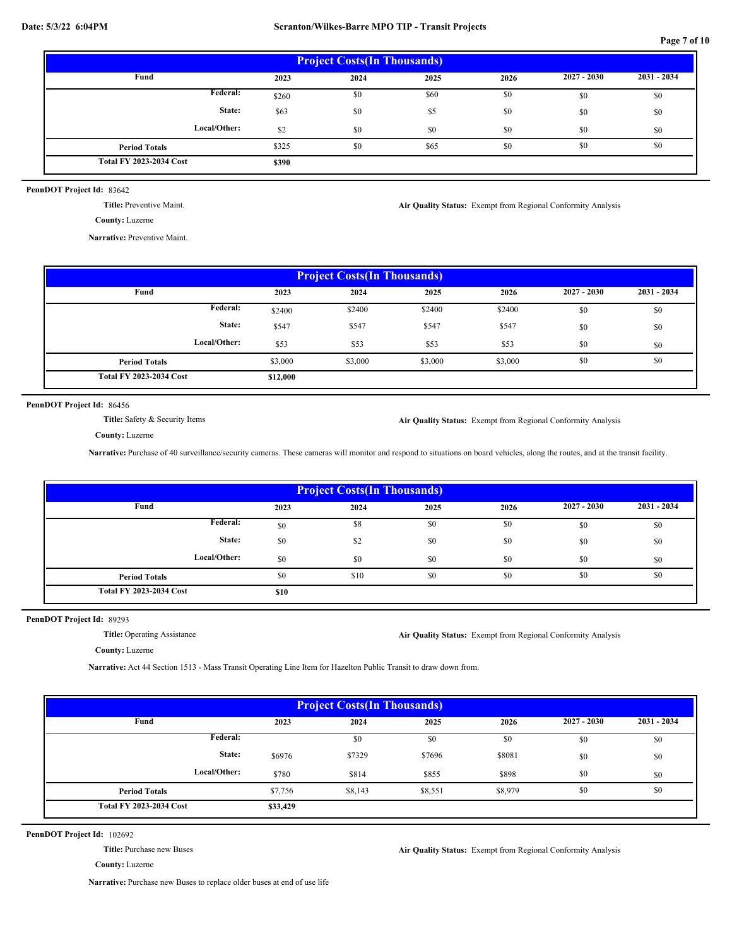**Page 7 of 10**

| <b>Project Costs (In Thousands)</b> |       |      |      |      |               |               |  |  |  |
|-------------------------------------|-------|------|------|------|---------------|---------------|--|--|--|
| Fund                                | 2023  | 2024 | 2025 | 2026 | $2027 - 2030$ | $2031 - 2034$ |  |  |  |
| <b>Federal:</b>                     | \$260 | \$0  | \$60 | \$0  | \$0           | \$0           |  |  |  |
| State:                              | \$63  | \$0  | \$5  | \$0  | \$0           | \$0           |  |  |  |
| Local/Other:                        | \$2   | \$0  | \$0  | \$0  | \$0           | \$0           |  |  |  |
| <b>Period Totals</b>                | \$325 | \$0  | \$65 | \$0  | \$0           | \$0           |  |  |  |
| <b>Total FY 2023-2034 Cost</b>      | \$390 |      |      |      |               |               |  |  |  |

PennDOT Project Id: 83642

**Title:** Preventive Maint.

**County:** Luzerne

**Narrative:** Preventive Maint.

 **2023 2025 2026 \$12,000** \$0 \$0 \$0 \$0 \$0 \$0 \$2400 \$547 \$547 \$547 \$547 \$53 \$3,000 \$3,000 \$3,000 \$3,000 \$0 \$0 \$0 **Project Costs(In Thousands) Fund 2027 - 2030 2031 - 2034 Local/Other: State: Total FY 2023-2034 Cost 2024** \$0 \$0 \$2400 \$2400 \$2400 \$53 \$53 \$53 \$3,000 **Federal: Period Totals**

PennDOT Project Id: 86456

**Title:** Safety & Security Items

**Air Quality Status:** Exempt from Regional Conformity Analysis

**Air Quality Status:** Exempt from Regional Conformity Analysis

**County:** Luzerne

**Narrative:** Purchase of 40 surveillance/security cameras. These cameras will monitor and respond to situations on board vehicles, along the routes, and at the transit facility.

| <b>Project Costs (In Thousands)</b> |      |      |      |      |               |             |  |  |
|-------------------------------------|------|------|------|------|---------------|-------------|--|--|
| Fund                                | 2023 | 2024 | 2025 | 2026 | $2027 - 2030$ | 2031 - 2034 |  |  |
| Federal:                            | \$0  | \$8  | \$0  | \$0  | \$0           | \$0         |  |  |
| State:                              | \$0  | \$2  | \$0  | \$0  | \$0           | \$0         |  |  |
| Local/Other:                        | \$0  | \$0  | \$0  | \$0  | \$0           | \$0         |  |  |
| <b>Period Totals</b>                | \$0  | \$10 | \$0  | \$0  | \$0           | \$0         |  |  |
| <b>Total FY 2023-2034 Cost</b>      | \$10 |      |      |      |               |             |  |  |

PennDOT Project Id: 89293

**Title:** Operating Assistance

**Air Quality Status:** Exempt from Regional Conformity Analysis

**County:** Luzerne

**Narrative:** Act 44 Section 1513 - Mass Transit Operating Line Item for Hazelton Public Transit to draw down from.

| <b>Project Costs (In Thousands)</b> |                  |         |         |         |               |               |  |  |  |
|-------------------------------------|------------------|---------|---------|---------|---------------|---------------|--|--|--|
| Fund                                | 2023             | 2024    | 2025    | 2026    | $2027 - 2030$ | $2031 - 2034$ |  |  |  |
|                                     | <b>Federal:</b>  | \$0     | \$0     | \$0     | \$0           | \$0           |  |  |  |
|                                     | State:<br>\$6976 | \$7329  | \$7696  | \$8081  | \$0           | \$0           |  |  |  |
| Local/Other:                        | \$780            | \$814   | \$855   | \$898   | \$0           | \$0           |  |  |  |
| <b>Period Totals</b>                | \$7,756          | \$8,143 | \$8,551 | \$8,979 | \$0           | \$0           |  |  |  |
| <b>Total FY 2023-2034 Cost</b>      | \$33,429         |         |         |         |               |               |  |  |  |

PennDOT Project Id: 102692

**Title:** Purchase new Buses

**Air Quality Status:** Exempt from Regional Conformity Analysis

**County:** Luzerne

**Narrative:** Purchase new Buses to replace older buses at end of use life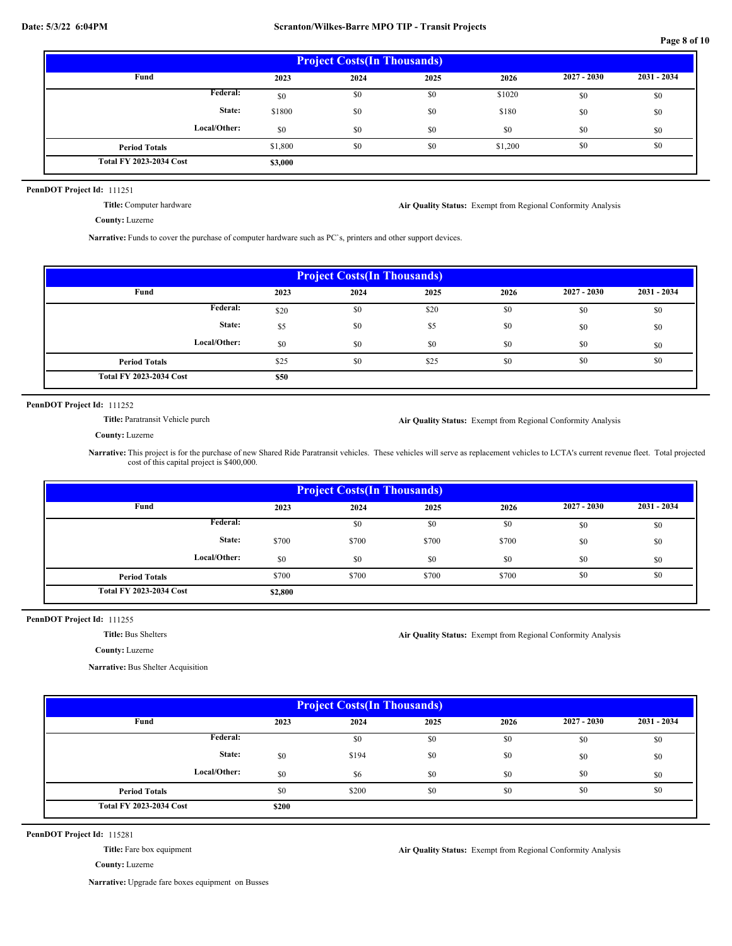**Page 8 of 10**

| <b>Project Costs (In Thousands)</b> |         |      |      |         |               |             |  |  |  |
|-------------------------------------|---------|------|------|---------|---------------|-------------|--|--|--|
| Fund                                | 2023    | 2024 | 2025 | 2026    | $2027 - 2030$ | 2031 - 2034 |  |  |  |
| Federal:                            | \$0     | \$0  | \$0  | \$1020  | \$0           | \$0         |  |  |  |
| State:                              | \$1800  | \$0  | \$0  | \$180   | \$0           | \$0         |  |  |  |
| Local/Other:                        | \$0     | \$0  | \$0  | \$0     | \$0           | \$0         |  |  |  |
| <b>Period Totals</b>                | \$1,800 | \$0  | \$0  | \$1,200 | \$0           | \$0         |  |  |  |
| <b>Total FY 2023-2034 Cost</b>      | \$3,000 |      |      |         |               |             |  |  |  |

## PennDOT Project Id: 111251

**Title:** Computer hardware

**Air Quality Status:** Exempt from Regional Conformity Analysis

**County:** Luzerne

**Narrative:** Funds to cover the purchase of computer hardware such as PC`s, printers and other support devices.

| <b>Project Costs (In Thousands)</b> |      |      |      |      |               |             |  |  |  |
|-------------------------------------|------|------|------|------|---------------|-------------|--|--|--|
| Fund                                | 2023 | 2024 | 2025 | 2026 | $2027 - 2030$ | 2031 - 2034 |  |  |  |
| Federal:                            | \$20 | \$0  | \$20 | \$0  | \$0           | \$0         |  |  |  |
| State:                              | \$5  | \$0  | \$5  | \$0  | \$0           | \$0         |  |  |  |
| Local/Other:                        | \$0  | \$0  | \$0  | \$0  | \$0           | \$0         |  |  |  |
| <b>Period Totals</b>                | \$25 | \$0  | \$25 | \$0  | \$0           | \$0         |  |  |  |
| <b>Total FY 2023-2034 Cost</b>      | \$50 |      |      |      |               |             |  |  |  |

PennDOT Project Id: 111252

**Title:** Paratransit Vehicle purch

**Air Quality Status:** Exempt from Regional Conformity Analysis

**County:** Luzerne

**Narrative:** This project is for the purchase of new Shared Ride Paratransit vehicles. These vehicles will serve as replacement vehicles to LCTA's current revenue fleet. Total projected cost of this capital project is \$400,000.

| <b>Project Costs (In Thousands)</b> |         |       |       |       |               |               |  |  |
|-------------------------------------|---------|-------|-------|-------|---------------|---------------|--|--|
| Fund                                | 2023    | 2024  | 2025  | 2026  | $2027 - 2030$ | $2031 - 2034$ |  |  |
| <b>Federal:</b>                     |         | \$0   | \$0   | \$0   | \$0           | \$0           |  |  |
| State:                              | \$700   | \$700 | \$700 | \$700 | \$0           | \$0           |  |  |
| Local/Other:                        | \$0     | \$0   | \$0   | \$0   | \$0           | \$0           |  |  |
| <b>Period Totals</b>                | \$700   | \$700 | \$700 | \$700 | \$0           | \$0           |  |  |
| <b>Total FY 2023-2034 Cost</b>      | \$2,800 |       |       |       |               |               |  |  |

## PennDOT Project Id: 111255

**Title:** Bus Shelters

**County:** Luzerne

**Narrative:** Bus Shelter Acquisition

**Air Quality Status:** Exempt from Regional Conformity Analysis

| <b>Project Costs (In Thousands)</b> |       |       |      |      |               |             |  |  |
|-------------------------------------|-------|-------|------|------|---------------|-------------|--|--|
| Fund                                | 2023  | 2024  | 2025 | 2026 | $2027 - 2030$ | 2031 - 2034 |  |  |
| Federal:                            |       | \$0   | \$0  | \$0  | \$0           | \$0         |  |  |
| State:                              | \$0   | \$194 | \$0  | \$0  | \$0           | \$0         |  |  |
| Local/Other:                        | \$0   | \$6   | \$0  | \$0  | \$0           | \$0         |  |  |
| <b>Period Totals</b>                | \$0   | \$200 | \$0  | \$0  | \$0           | \$0         |  |  |
| <b>Total FY 2023-2034 Cost</b>      | \$200 |       |      |      |               |             |  |  |

PennDOT Project Id: 115281

**Title:** Fare box equipment

**Air Quality Status:** Exempt from Regional Conformity Analysis

**County:** Luzerne

**Narrative:** Upgrade fare boxes equipment on Busses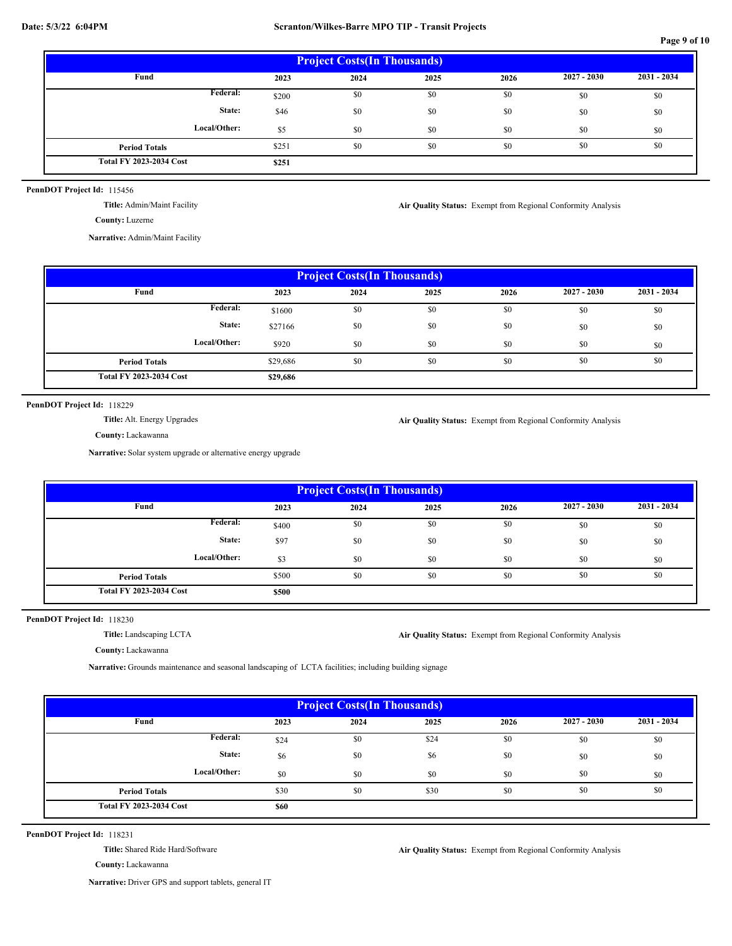**Page 9 of 10**

| <b>Project Costs (In Thousands)</b> |       |      |      |      |               |             |  |  |  |
|-------------------------------------|-------|------|------|------|---------------|-------------|--|--|--|
| Fund                                | 2023  | 2024 | 2025 | 2026 | $2027 - 2030$ | 2031 - 2034 |  |  |  |
| Federal:                            | \$200 | \$0  | \$0  | \$0  | \$0           | \$0         |  |  |  |
| State:                              | \$46  | \$0  | \$0  | \$0  | \$0           | \$0         |  |  |  |
| Local/Other:                        | \$5   | \$0  | \$0  | \$0  | \$0           | \$0         |  |  |  |
| <b>Period Totals</b>                | \$251 | \$0  | \$0  | \$0  | \$0           | \$0         |  |  |  |
| <b>Total FY 2023-2034 Cost</b>      | \$251 |      |      |      |               |             |  |  |  |

PennDOT Project Id: 115456

**Title:** Admin/Maint Facility

**Narrative:** Admin/Maint Facility

| <b>Project Costs (In Thousands)</b> |          |      |      |      |               |               |  |  |
|-------------------------------------|----------|------|------|------|---------------|---------------|--|--|
| Fund                                | 2023     | 2024 | 2025 | 2026 | $2027 - 2030$ | $2031 - 2034$ |  |  |
| Federal:                            | \$1600   | \$0  | \$0  | \$0  | \$0           | \$0           |  |  |
| State:                              | \$27166  | \$0  | \$0  | \$0  | \$0           | \$0           |  |  |
| Local/Other:                        | \$920    | \$0  | \$0  | \$0  | \$0           | \$0           |  |  |
| <b>Period Totals</b>                | \$29,686 | \$0  | \$0  | \$0  | \$0           | \$0           |  |  |
| <b>Total FY 2023-2034 Cost</b>      | \$29,686 |      |      |      |               |               |  |  |

PennDOT Project Id: 118229

**Title:** Alt. Energy Upgrades

**Air Quality Status:** Exempt from Regional Conformity Analysis

**Air Quality Status:** Exempt from Regional Conformity Analysis

**County:** Lackawanna

**Narrative:** Solar system upgrade or alternative energy upgrade

| <b>Project Costs (In Thousands)</b> |       |      |      |      |               |               |  |  |
|-------------------------------------|-------|------|------|------|---------------|---------------|--|--|
| Fund                                | 2023  | 2024 | 2025 | 2026 | $2027 - 2030$ | $2031 - 2034$ |  |  |
| Federal:                            | \$400 | \$0  | \$0  | \$0  | \$0           | \$0           |  |  |
| State:                              | \$97  | \$0  | \$0  | \$0  | \$0           | \$0           |  |  |
| Local/Other:                        | \$3   | \$0  | \$0  | \$0  | \$0           | \$0           |  |  |
| <b>Period Totals</b>                | \$500 | \$0  | \$0  | \$0  | \$0           | \$0           |  |  |
| <b>Total FY 2023-2034 Cost</b>      | \$500 |      |      |      |               |               |  |  |

## PennDOT Project Id: 118230

**Title:** Landscaping LCTA

**Air Quality Status:** Exempt from Regional Conformity Analysis

**County:** Lackawanna

**Narrative:** Grounds maintenance and seasonal landscaping of LCTA facilities; including building signage

| <b>Project Costs (In Thousands)</b> |      |      |      |      |               |             |  |  |  |
|-------------------------------------|------|------|------|------|---------------|-------------|--|--|--|
| Fund                                | 2023 | 2024 | 2025 | 2026 | $2027 - 2030$ | 2031 - 2034 |  |  |  |
| Federal:                            | \$24 | \$0  | \$24 | \$0  | \$0           | \$0         |  |  |  |
| State:                              | \$6  | \$0  | \$6  | \$0  | \$0           | \$0         |  |  |  |
| Local/Other:                        | \$0  | \$0  | \$0  | \$0  | \$0           | \$0         |  |  |  |
| <b>Period Totals</b>                | \$30 | \$0  | \$30 | \$0  | \$0           | \$0         |  |  |  |
| <b>Total FY 2023-2034 Cost</b>      | \$60 |      |      |      |               |             |  |  |  |

PennDOT Project Id: 118231

**Title:** Shared Ride Hard/Software

**Air Quality Status:** Exempt from Regional Conformity Analysis

**County:** Lackawanna

**Narrative:** Driver GPS and support tablets, general IT

**County:** Luzerne